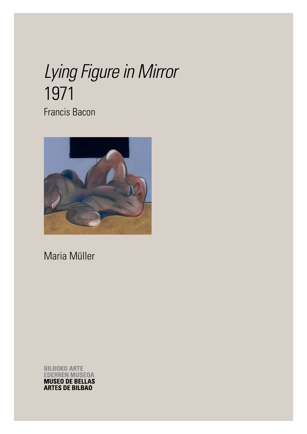# *Lying Figure in Mirror* 1971 Francis Bacon



Maria Müller

**BILBOKO ARTE EDERREN MUSEOA MUSEO DE BELLAS ARTES DE BILBAO**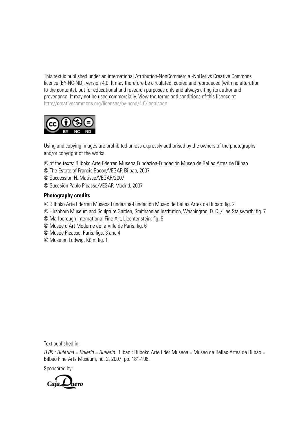This text is published under an international Attribution-NonCommercial-NoDerivs Creative Commons licence (BY-NC-ND), version 4.0. It may therefore be circulated, copied and reproduced (with no alteration to the contents), but for educational and research purposes only and always citing its author and provenance. It may not be used commercially. View the terms and conditions of this licence at http://creativecommons.org/licenses/by-ncnd/4.0/legalcode



Using and copying images are prohibited unless expressly authorised by the owners of the photographs and/or copyright of the works.

- © of the texts: Bilboko Arte Ederren Museoa Fundazioa-Fundación Museo de Bellas Artes de Bilbao
- © The Estate of Francis Bacon/VEGAP, Bilbao, 2007
- © Succession H. Matisse/VEGAP/2007
- © Sucesión Pablo Picasso/VEGAP, Madrid, 2007

### **Photography credits**

- © Bilboko Arte Ederren Museoa Fundazioa-Fundación Museo de Bellas Artes de Bilbao: fig. 2
- © Hirshhorn Museum and Sculpture Garden, Smithsonian Institution, Washington, D. C. / Lee Stalsworth: fig. 7
- © Marlborough International Fine Art, Liechtenstein: fig. 5
- © Musée d'Art Moderne de la Ville de Paris: fig. 6
- © Musée Picasso, Paris: figs. 3 and 4
- © Museum Ludwig, Köln: fig. 1

Text published in:

*B'06 : Buletina = Boletín = Bulletin.* Bilbao : Bilboko Arte Eder Museoa = Museo de Bellas Artes de Bilbao = Bilbao Fine Arts Museum, no. 2, 2007, pp. 181-196.

Sponsored by:

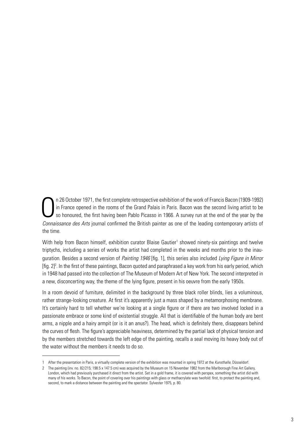$\int$ n 26 October 1971, the first complete retrospective exhibition of the work of Francis Bacon (1909-1992) in France opened in the rooms of the Grand Palais in Paris. Bacon was the second living artist to be so honoured, the first having been Pablo Picasso in 1966. A survey run at the end of the year by the *Connaissance des Arts* journal confirmed the British painter as one of the leading contemporary artists of the time.

With help from Bacon himself, exhibition curator Blaise Gautier<sup>1</sup> showed ninety-six paintings and twelve triptychs, including a series of works the artist had completed in the weeks and months prior to the inauguration. Besides a second version of *Painting 1946* [fig. 1], this series also included *Lying Figure in Mirror*  [fig. 2]<sup>2</sup>. In the first of these paintings, Bacon quoted and paraphrased a key work from his early period, which in 1948 had passed into the collection of The Museum of Modern Art of New York. The second interpreted in a new, disconcerting way, the theme of the lying figure, present in his oeuvre from the early 1950s.

In a room devoid of furniture, delimited in the background by three black roller blinds, lies a voluminous, rather strange-looking creature. At first it's apparently just a mass shaped by a metamorphosing membrane. It's certainly hard to tell whether we're looking at a single figure or if there are two involved locked in a passionate embrace or some kind of existential struggle. All that is identifiable of the human body are bent arms, a nipple and a hairy armpit (or is it an anus?). The head, which is definitely there, disappears behind the curves of flesh. The figure's appreciable heaviness, determined by the partial lack of physical tension and by the members stretched towards the left edge of the painting, recalls a seal moving its heavy body out of the water without the members it needs to do so.

<sup>1</sup> After the presentation in Paris, a virtually complete version of the exhibition was mounted in spring 1972 at the *Kunsthalle*, Düsseldorf.

<sup>2</sup> The painting (inv. no. 82/215; 198.5 x 147.5 cm) was acquired by the Museum on 15 November 1982 from the Marlborough Fine Art Gallery, London, which had previously purchased it direct from the artist. Set in a gold frame, it is covered with perspex, something the artist did with many of his works. To Bacon, the point of covering over his paintings with glass or methacrylate was twofold: first, to protect the painting and, second, to mark a distance between the painting and the spectator. Sylvester 1975, p. 80.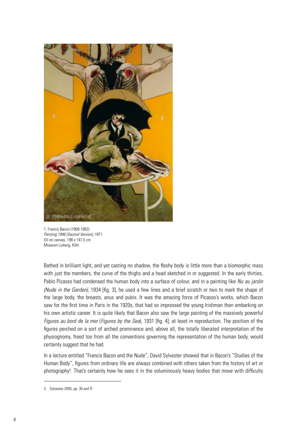

1. Francis Bacon (1909-1992) *Painting 1946 (Second Version)*, 1971 Oil on canvas, 198 x 147.5 cm Museum Ludwig, Köln

Bathed in brilliant light, and yet casting no shadow, the fleshy body is little more than a biomorphic mass with just the members, the curve of the thighs and a head sketched in or suggested. In the early thirties, Pablo Picasso had condensed the human body into a surface of colour, and in a painting like *Nu au jardin (Nude in the Garden)*, 1934 [fig. 3], he used a few lines and a brief scratch or two to mark the shape of the large body, the breasts, anus and pubis. It was the amazing force of Picasso's works, which Bacon saw for the first time in Paris in the 1920s, that had so impressed the young Irishman then embarking on his own artistic career. It is quite likely that Bacon also saw the large painting of the massively powerful *Figures au bord de la mer* (*Figures by the Sea*), 1931 [fig. 4], at least in reproduction. The position of the figures perched on a sort of arched prominence and, above all, the totally liberated interpretation of the physiognomy, freed too from all the conventions governing the representation of the human body, would certainly suggest that he had.

In a lecture entitled "Francis Bacon and the Nude", David Sylvester showed that in Bacon's "Studies of the Human Body", figures from ordinary life are always combined with others taken from the history of art or photography<sup>3</sup>. That's certainly how he sees it in the voluminously heavy bodies that move with difficulty

<sup>3</sup> Sylvester 2005, pp. 30 and ff.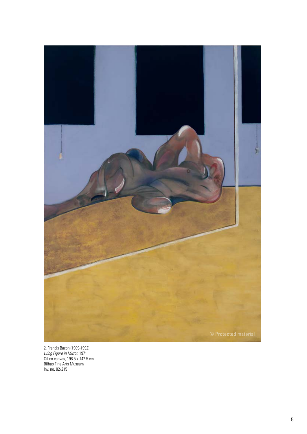

2. Francis Bacon (1909-1992) *Lying Figure in Mirror,* 1971 Oil on canvas, 198.5 x 147.5 cm Bilbao Fine Arts Museum Inv. no. 82/215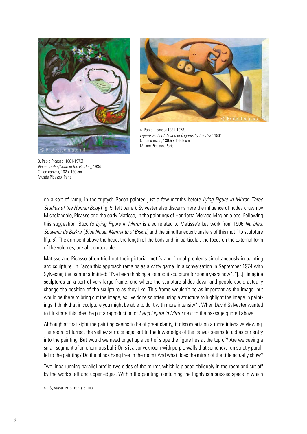



4. Pablo Picasso (1881-1973) *Figures au bord de la mer (Figures by the Sea),* 1931 Oil on canvas, 130.5 x 195.5 cm Musée Picasso, Paris

3. Pablo Picasso (1881-1973) *Nu au jardin (Nude in the Garden)*, 1934 Oil on canvas, 162 x 130 cm Musée Picasso, Paris

on a sort of ramp, in the triptych Bacon painted just a few months before *Lying Figure in Mirror*, *Three Studies of the Human Body* (fig. 5, left panel). Sylvester also discerns here the influence of nudes drawn by Michelangelo, Picasso and the early Matisse, in the paintings of Henrietta Moraes lying on a bed. Following this suggestion, Bacon's *Lying Figure in Mirror* is also related to Matisse's key work from 1906 *Nu bleu. Souvenir de Biskra*, (*Blue Nude: Memento of Biskra*) and the simultaneous transfers of this motif to sculpture [fig. 6]. The arm bent above the head, the length of the body and, in particular, the focus on the external form of the volumes, are all comparable.

Matisse and Picasso often tried out their pictorial motifs and formal problems simultaneously in painting and sculpture. In Bacon this approach remains as a witty game. In a conversation in September 1974 with Sylvester, the painter admitted: "I've been thinking a lot about sculpture for some years now". "[...] I imagine sculptures on a sort of very large frame, one where the sculpture slides down and people could actually change the position of the sculpture as they like. This frame wouldn't be as important as the image, but would be there to bring out the image, as I've done so often using a structure to highlight the image in paintings. I think that in sculpture you might be able to do it with more intensity"4 . When David Sylvester wanted to illustrate this idea, he put a reproduction of *Lying Figure in Mirror* next to the passage quoted above.

Although at first sight the painting seems to be of great clarity, it disconcerts on a more intensive viewing. The room is blurred, the yellow surface adjacent to the lower edge of the canvas seems to act as our entry into the painting. But would we need to get up a sort of slope the figure lies at the top of? Are we seeing a small segment of an enormous ball? Or is it a convex room with purple walls that somehow run strictly parallel to the painting? Do the blinds hang free in the room? And what does the mirror of the title actually show?

Two lines running parallel profile two sides of the mirror, which is placed obliquely in the room and cut off by the work's left and upper edges. Within the painting, containing the highly compressed space in which

<sup>4</sup> Sylvester 1975 (1977), p. 108.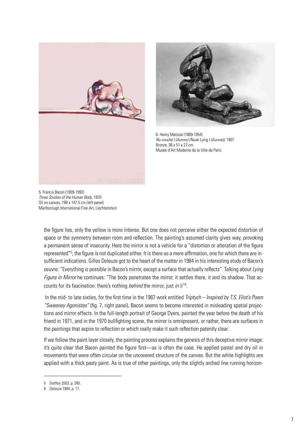



6. Henry Matisse (1869-1954) *Nu couché I (Aurore) (Nude Lying I (Aurore))*, 1907 Bronze, 36 x 51 x 27 cm Musée d'Art Moderne de la Ville de Paris

5. Francis Bacon (1909-1992) *Three Studies of the Human Body*, 1970 Oil on canvas, 198 x 147.5 cm (left panel) Marlborough International Fine Art, Liechtenstein

the figure lies, only the yellow is more intense. But one does not perceive either the expected distortion of space or the symmetry between room and reflection. The painting's assumed clarity gives way, provoking a permanent sense of insecurity. Here the mirror is not a vehicle for a "distortion or alteration of the figure represented"<sup>5</sup>; the figure is not duplicated either. It is there as a mere affirmation, one for which there are insufficient indications. Gilles Deleuze got to the heart of the matter in 1984 in his interesting study of Bacon's oeuvre: "Everything is possible in Bacon's mirror, except a surface that actually reflects". Talking about *Lying Figure in Mirror* he continues: "The body penetrates the mirror, it settles there, it and its shadow. That accounts for its fascination: there's nothing *behind* the mirror, just *in* it"6 .

 In the mid- to late sixties, for the first time in the 1967 work entitled *Triptych – Inspired by T.S. Eliot's Poem "Sweeney Agonistes"* (fig. 7, right panel), Bacon seems to become interested in misleading spatial projections and mirror effects. In the full-length portrait of George Dyers, painted the year before the death of his friend in 1971, and in the 1970 bullfighting scene, the mirror is omnipresent, or rather, there are surfaces in the paintings that aspire to reflection or which really make it such reflection patently clear.

If we follow the paint layer closely, the painting process explains the genesis of this deceptive mirror image: it's quite clear that Bacon painted the figure first—as is often the case. He applied pastel and dry oil in movements that were often circular on the uncovered structure of the canvas. But the white highlights are applied with a thick pasty paint. As is true of other paintings, only the slightly arched line running horizon-

<sup>5</sup> Steffen 2003, p. 280.

<sup>6</sup> Deleuze 1984, p. 17.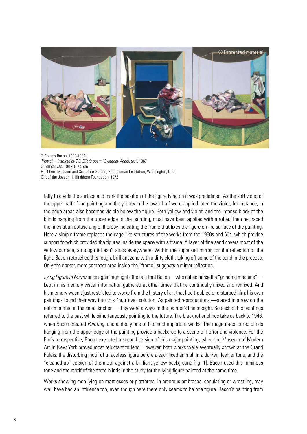

7. Francis Bacon (1909-1992) *Triptych – Inspired by T.S. Eliot's poem "Sweeney Agonistes"*, 1967 Oil on canvas, 198 x 147.5 cm Hirshhorn Museum and Sculpture Garden, Smithsonian Institution, Washington, D. C. Gift of the Joseph H. Hirshhorn Foundation, 1972

tally to divide the surface and mark the position of the figure lying on it was predefined. As the soft violet of the upper half of the painting and the yellow in the lower half were applied later, the violet, for instance, in the edge areas also becomes visible below the figure. Both yellow and violet, and the intense black of the blinds hanging from the upper edge of the painting, must have been applied with a roller. Then he traced the lines at an obtuse angle, thereby indicating the frame that fixes the figure on the surface of the painting. Here a simple frame replaces the cage-like structures of the works from the 1950s and 60s, which provide support forwhich provided the figures inside the space with a frame. A layer of fine sand covers most of the yellow surface, although it hasn't stuck everywhere. Within the supposed mirror, for the reflection of the light, Bacon retouched this rough, brilliant zone with a dirty cloth, taking off some of the sand in the process. Only the darker, more compact area inside the "frame" suggests a mirror reflection.

*Lying Figure in Mirror* once again highlights the fact that Bacon—who called himself a "grinding machine" kept in his memory visual information gathered at other times that he continually mixed and remixed. And his memory wasn't just restricted to works from the history of art that had troubled or disturbed him; his own paintings found their way into this "nutritive" solution. As painted reproductions —placed in a row on the rails mounted in the small kitchen— they were always in the painter's line of sight. So each of his paintings referred to the past while simultaneously pointing to the future. The black roller blinds take us back to 1946, when Bacon created *Painting*, undoubtedly one of his most important works. The magenta-coloured blinds hanging from the upper edge of the painting provide a backdrop to a scene of horror and violence. For the Paris retrospective, Bacon executed a second version of this major painting, when the Museum of Modern Art in New York proved most reluctant to lend. However, both works were eventually shown at the Grand Palais: the disturbing motif of a faceless figure before a sacrificed animal, in a darker, fleshier tone, and the "cleaned-up" version of the motif against a brilliant yellow background [fig. 1]. Bacon used this luminous tone and the motif of the three blinds in the study for the lying figure painted at the same time.

Works showing men lying on mattresses or platforms, in amorous embraces, copulating or wrestling, may well have had an influence too, even though here there only seems to be one figure. Bacon's painting from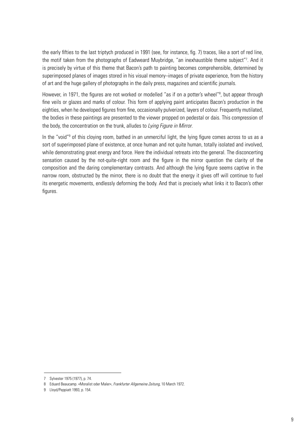the early fifties to the last triptych produced in 1991 (see, for instance, fig. 7) traces, like a sort of red line, the motif taken from the photographs of Eadweard Muybridge, "an inexhaustible theme subject"7 . And it is precisely by virtue of this theme that Bacon's path to painting becomes comprehensible, determined by superimposed planes of images stored in his visual memory–images of private experience, from the history of art and the huge gallery of photographs in the daily press, magazines and scientific journals.

However, in 1971, the figures are not worked or modelled "as if on a potter's wheel"<sup>8</sup>, but appear through fine veils or glazes and marks of colour. This form of applying paint anticipates Bacon's production in the eighties, when he developed figures from fine, occasionally pulverized, layers of colour. Frequently mutilated, the bodies in these paintings are presented to the viewer propped on pedestal or dais. This compression of the body, the concentration on the trunk, alludes to *Lying Figure in Mirror*.

In the "void"<sup>9</sup> of this cloying room, bathed in an unmerciful light, the lying figure comes across to us as a sort of superimposed plane of existence, at once human and not quite human, totally isolated and involved, while demonstrating great energy and force. Here the individual retreats into the general. The disconcerting sensation caused by the not-quite-right room and the figure in the mirror question the clarity of the composition and the daring complementary contrasts. And although the lying figure seems captive in the narrow room, obstructed by the mirror, there is no doubt that the energy it gives off will continue to fuel its energetic movements, endlessly deforming the body. And that is precisely what links it to Bacon's other figures.

<sup>7</sup> Sylvester 1975 (1977), p. 74.

<sup>8</sup> Eduard Beaucamp. «Moralist oder Maler», *Frankfurter Allgemeine Zeitung*, 10 March 1972.

<sup>9</sup> Lloyd/Peppiatt 1993, p. 154.